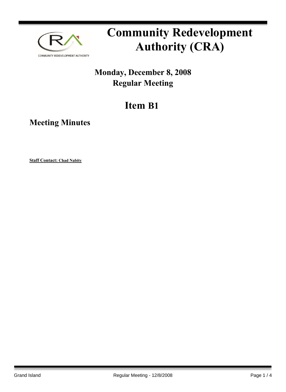

# **Community Redevelopment Authority (CRA)**

### **Monday, December 8, 2008 Regular Meeting**

## **Item B1**

**Meeting Minutes**

**Staff Contact: Chad Nabity**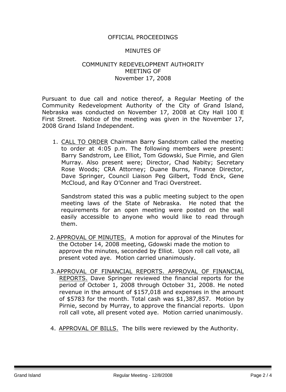#### OFFICIAL PROCEEDINGS

#### MINUTES OF

#### COMMUNITY REDEVELOPMENT AUTHORITY MEETING OF November 17, 2008

Pursuant to due call and notice thereof, a Regular Meeting of the Community Redevelopment Authority of the City of Grand Island, Nebraska was conducted on November 17, 2008 at City Hall 100 E First Street. Notice of the meeting was given in the November 17, 2008 Grand Island Independent.

1. CALL TO ORDER Chairman Barry Sandstrom called the meeting to order at 4:05 p.m. The following members were present: Barry Sandstrom, Lee Elliot, Tom Gdowski, Sue Pirnie, and Glen Murray. Also present were; Director, Chad Nabity; Secretary Rose Woods; CRA Attorney; Duane Burns, Finance Director, Dave Springer, Council Liaison Peg Gilbert, Todd Enck, Gene McCloud, and Ray O'Conner and Traci Overstreet.

Sandstrom stated this was a public meeting subject to the open meeting laws of the State of Nebraska. He noted that the requirements for an open meeting were posted on the wall easily accessible to anyone who would like to read through them.

- 2. APPROVAL OF MINUTES. A motion for approval of the Minutes for the October 14, 2008 meeting, Gdowski made the motion to approve the minutes, seconded by Elliot. Upon roll call vote, all present voted aye. Motion carried unanimously.
- 3.APPROVAL OF FINANCIAL REPORTS. APPROVAL OF FINANCIAL REPORTS. Dave Springer reviewed the financial reports for the period of October 1, 2008 through October 31, 2008. He noted revenue in the amount of \$157,018 and expenses in the amount of \$5783 for the month. Total cash was \$1,387,857. Motion by Pirnie, second by Murray, to approve the financial reports. Upon roll call vote, all present voted aye. Motion carried unanimously.
- 4. APPROVAL OF BILLS. The bills were reviewed by the Authority.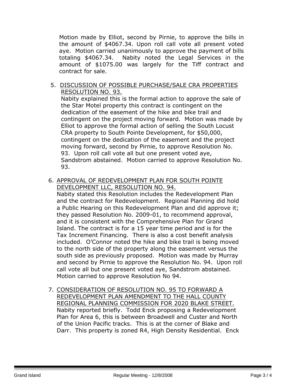Motion made by Elliot, second by Pirnie, to approve the bills in the amount of \$4067.34. Upon roll call vote all present voted aye. Motion carried unanimously to approve the payment of bills totaling \$4067.34. Nabity noted the Legal Services in the amount of \$1075.00 was largely for the Tiff contract and contract for sale.

5. DISCUSSION OF POSSIBLE PURCHASE/SALE CRA PROPERTIES RESOLUTION NO. 93.

Nabity explained this is the formal action to approve the sale of the Star Motel property this contract is contingent on the dedication of the easement of the hike and bike trail and contingent on the project moving forward. Motion was made by Elliot to approve the formal action of selling the South Locust CRA property to South Pointe Development, for \$50,000, contingent on the dedication of the easement and the project moving forward, second by Pirnie, to approve Resolution No. 93. Upon roll call vote all but one present voted aye, Sandstrom abstained. Motion carried to approve Resolution No. 93.

6. APPROVAL OF REDEVELOPMENT PLAN FOR SOUTH POINTE DEVELOPMENT LLC, RESOLUTION NO. 94.

Nabity stated this Resolution includes the Redevelopment Plan and the contract for Redevelopment. Regional Planning did hold a Public Hearing on this Redevelopment Plan and did approve it; they passed Resolution No. 2009-01, to recommend approval, and it is consistent with the Comprehensive Plan for Grand Island. The contract is for a 15 year time period and is for the Tax Increment Financing. There is also a cost benefit analysis included. O'Connor noted the hike and bike trail is being moved to the north side of the property along the easement versus the south side as previously proposed. Motion was made by Murray and second by Pirnie to approve the Resolution No. 94. Upon roll call vote all but one present voted aye, Sandstrom abstained. Motion carried to approve Resolution No 94.

7. CONSIDERATION OF RESOLUTION NO. 95 TO FORWARD A REDEVELOPMENT PLAN AMENDMENT TO THE HALL COUNTY REGIONAL PLANNING COMMISSION FOR 2020 BLAKE STREET. Nabity reported briefly. Todd Enck proposing a Redevelopment Plan for Area 6, this is between Broadwell and Custer and North of the Union Pacific tracks. This is at the corner of Blake and Darr. This property is zoned R4, High Density Residential. Enck